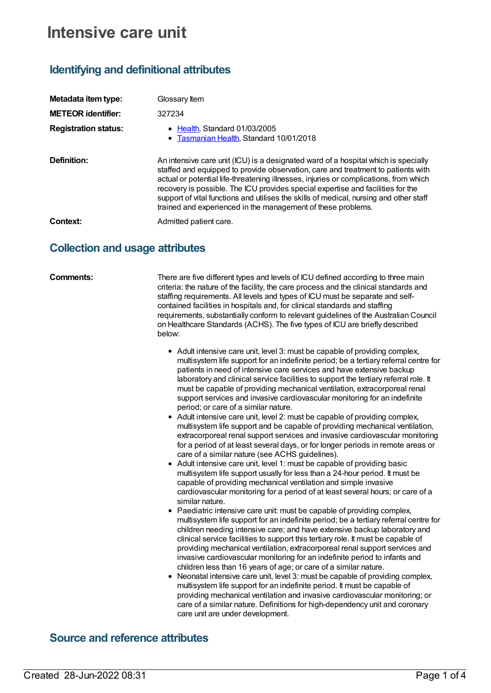# **Intensive care unit**

## **Identifying and definitional attributes**

| Metadata item type:         | Glossary Item                                                                                                                                                                                                                                                                                                                                                                                                                                                                                                |
|-----------------------------|--------------------------------------------------------------------------------------------------------------------------------------------------------------------------------------------------------------------------------------------------------------------------------------------------------------------------------------------------------------------------------------------------------------------------------------------------------------------------------------------------------------|
| <b>METEOR</b> identifier:   | 327234                                                                                                                                                                                                                                                                                                                                                                                                                                                                                                       |
| <b>Registration status:</b> | • Health, Standard 01/03/2005<br>• Tasmanian Health, Standard 10/01/2018                                                                                                                                                                                                                                                                                                                                                                                                                                     |
| Definition:                 | An intensive care unit (ICU) is a designated ward of a hospital which is specially<br>staffed and equipped to provide observation, care and treatment to patients with<br>actual or potential life-threatening illnesses, injuries or complications, from which<br>recovery is possible. The ICU provides special expertise and facilities for the<br>support of vital functions and utilises the skills of medical, nursing and other staff<br>trained and experienced in the management of these problems. |
| Context:                    | Admitted patient care.                                                                                                                                                                                                                                                                                                                                                                                                                                                                                       |

### **Collection and usage attributes**

**Comments:** There are five different types and levels of ICU defined according to three main criteria: the nature of the facility, the care process and the clinical standards and staffing requirements. All levels and types of ICU must be separate and selfcontained facilities in hospitals and, for clinical standards and staffing requirements, substantially conform to relevant guidelines of the Australian Council on Healthcare Standards (ACHS). The five types of ICU are briefly described below:

- Adult intensive care unit, level 3: must be capable of providing complex, multisystem life support for an indefinite period; be a tertiary referral centre for patients in need of intensive care services and have extensive backup laboratory and clinical service facilities to support the tertiary referral role. It must be capable of providing mechanical ventilation, extracorporeal renal support services and invasive cardiovascular monitoring for an indefinite period; or care of a similar nature.
- Adult intensive care unit, level 2: must be capable of providing complex, multisystem life support and be capable of providing mechanical ventilation, extracorporeal renal support services and invasive cardiovascular monitoring for a period of at least several days, or for longer periods in remote areas or care of a similar nature (see ACHS guidelines).
- Adult intensive care unit, level 1: must be capable of providing basic multisystem life support usually for less than a 24-hour period. It must be capable of providing mechanical ventilation and simple invasive cardiovascular monitoring for a period of at least several hours; or care of a similar nature.
- Paediatric intensive care unit: must be capable of providing complex, multisystem life support for an indefinite period; be a tertiary referral centre for children needing intensive care; and have extensive backup laboratory and clinical service facilities to support this tertiary role. It must be capable of providing mechanical ventilation, extracorporeal renal support services and invasive cardiovascular monitoring for an indefinite period to infants and children less than 16 years of age; or care of a similar nature.
- Neonatal intensive care unit, level 3: must be capable of providing complex, multisystem life support for an indefinite period. It must be capable of providing mechanical ventilation and invasive cardiovascular monitoring; or care of a similar nature. Definitions for high-dependency unit and coronary care unit are under development.

### **Source and reference attributes**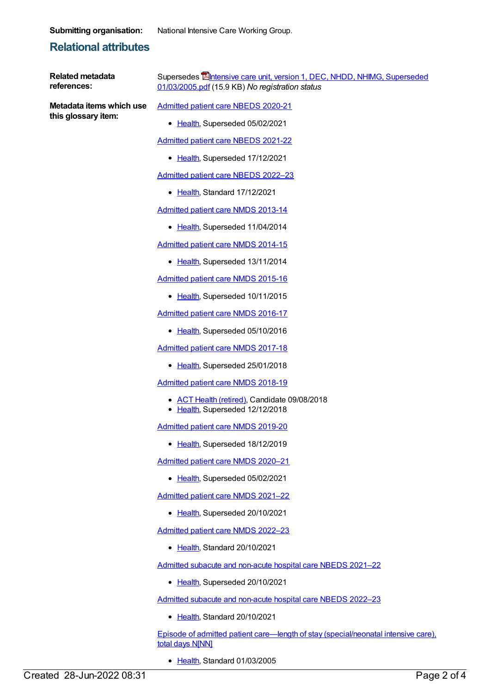**Submitting organisation:** National Intensive Care Working Group.

### **Relational attributes**

**Related metadata references:**

**Metadata items which use this glossary item:**

Supersedes **Entensive care unit, version 1, DEC, NHDD, NHIMG, Superseded** [01/03/2005.pdf](https://meteor.aihw.gov.au/content/273083) (15.9 KB) *No registration status*

[Admitted](https://meteor.aihw.gov.au/content/715998) patient care NBEDS 2020-21

• [Health](https://meteor.aihw.gov.au/RegistrationAuthority/12), Superseded 05/02/2021

[Admitted](https://meteor.aihw.gov.au/content/728441) patient care NBEDS 2021-22

• [Health](https://meteor.aihw.gov.au/RegistrationAuthority/12), Superseded 17/12/2021

[Admitted](https://meteor.aihw.gov.au/content/742171) patient care NBEDS 2022–23

• [Health](https://meteor.aihw.gov.au/RegistrationAuthority/12), Standard 17/12/2021

[Admitted](https://meteor.aihw.gov.au/content/491555) patient care NMDS 2013-14

• [Health](https://meteor.aihw.gov.au/RegistrationAuthority/12), Superseded 11/04/2014

[Admitted](https://meteor.aihw.gov.au/content/535047) patient care NMDS 2014-15

• [Health](https://meteor.aihw.gov.au/RegistrationAuthority/12), Superseded 13/11/2014

[Admitted](https://meteor.aihw.gov.au/content/588909) patient care NMDS 2015-16

• [Health](https://meteor.aihw.gov.au/RegistrationAuthority/12), Superseded 10/11/2015

[Admitted](https://meteor.aihw.gov.au/content/612171) patient care NMDS 2016-17

• [Health](https://meteor.aihw.gov.au/RegistrationAuthority/12), Superseded 05/10/2016

[Admitted](https://meteor.aihw.gov.au/content/641349) patient care NMDS 2017-18

• [Health](https://meteor.aihw.gov.au/RegistrationAuthority/12), Superseded 25/01/2018

[Admitted](https://meteor.aihw.gov.au/content/676382) patient care NMDS 2018-19

- ACT Health [\(retired\)](https://meteor.aihw.gov.au/RegistrationAuthority/9), Candidate 09/08/2018
- [Health](https://meteor.aihw.gov.au/RegistrationAuthority/12), Superseded 12/12/2018

[Admitted](https://meteor.aihw.gov.au/content/699728) patient care NMDS 2019-20

• [Health](https://meteor.aihw.gov.au/RegistrationAuthority/12), Superseded 18/12/2019

[Admitted](https://meteor.aihw.gov.au/content/713850) patient care NMDS 2020–21

• [Health](https://meteor.aihw.gov.au/RegistrationAuthority/12), Superseded 05/02/2021

[Admitted](https://meteor.aihw.gov.au/content/728439) patient care NMDS 2021–22

• [Health](https://meteor.aihw.gov.au/RegistrationAuthority/12), Superseded 20/10/2021

[Admitted](https://meteor.aihw.gov.au/content/742173) patient care NMDS 2022–23

• [Health](https://meteor.aihw.gov.au/RegistrationAuthority/12), Standard 20/10/2021

Admitted subacute and [non-acute](https://meteor.aihw.gov.au/content/727327) hospital care NBEDS 2021–22

• [Health](https://meteor.aihw.gov.au/RegistrationAuthority/12), Superseded 20/10/2021

Admitted subacute and [non-acute](https://meteor.aihw.gov.au/content/742177) hospital care NBEDS 2022–23

• [Health](https://meteor.aihw.gov.au/RegistrationAuthority/12), Standard 20/10/2021

Episode of admitted patient care—length of stay [\(special/neonatal](https://meteor.aihw.gov.au/content/270057) intensive care), total days N[NN]

● [Health](https://meteor.aihw.gov.au/RegistrationAuthority/12), Standard 01/03/2005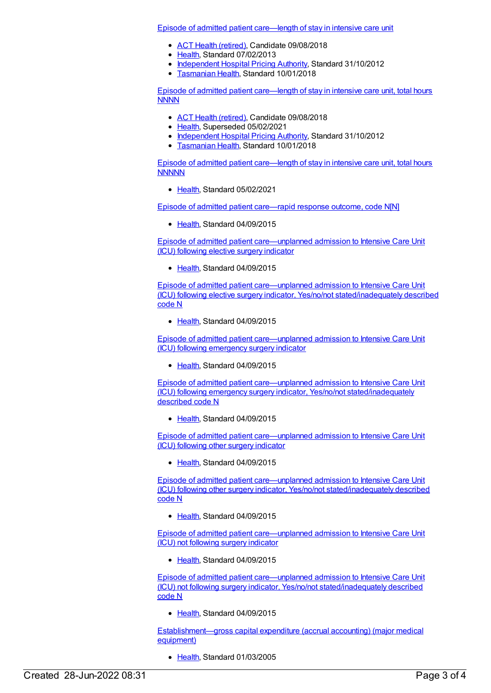Episode of admitted patient [care—length](https://meteor.aihw.gov.au/content/471545) of stay in intensive care unit

- ACT Health [\(retired\)](https://meteor.aihw.gov.au/RegistrationAuthority/9), Candidate 09/08/2018
- [Health](https://meteor.aihw.gov.au/RegistrationAuthority/12), Standard 07/02/2013
- [Independent](https://meteor.aihw.gov.au/RegistrationAuthority/3) Hospital Pricing Authority, Standard 31/10/2012
- **[Tasmanian](https://meteor.aihw.gov.au/RegistrationAuthority/15) Health, Standard 10/01/2018**

Episode of admitted patient [care—length](https://meteor.aihw.gov.au/content/471553) of stay in intensive care unit, total hours **NNNN** 

- ACT Health [\(retired\)](https://meteor.aihw.gov.au/RegistrationAuthority/9), Candidate 09/08/2018
- [Health](https://meteor.aihw.gov.au/RegistrationAuthority/12), Superseded 05/02/2021
- [Independent](https://meteor.aihw.gov.au/RegistrationAuthority/3) Hospital Pricing Authority, Standard 31/10/2012
- [Tasmanian](https://meteor.aihw.gov.au/RegistrationAuthority/15) Health, Standard 10/01/2018

Episode of admitted patient [care—length](https://meteor.aihw.gov.au/content/731473) of stay in intensive care unit, total hours **NNNNN** 

[Health](https://meteor.aihw.gov.au/RegistrationAuthority/12), Standard 05/02/2021

Episode of admitted patient [care—rapid](https://meteor.aihw.gov.au/content/593135) response outcome, code N[N]

• [Health](https://meteor.aihw.gov.au/RegistrationAuthority/12), Standard 04/09/2015

Episode of admitted patient [care—unplanned](https://meteor.aihw.gov.au/content/591978) admission to Intensive Care Unit (ICU) following elective surgery indicator

• [Health](https://meteor.aihw.gov.au/RegistrationAuthority/12), Standard 04/09/2015

Episode of admitted patient care—unplanned admission to Intensive Care Unit (ICU) following elective surgery indicator, Yes/no/not [stated/inadequately](https://meteor.aihw.gov.au/content/591990) described code N

[Health](https://meteor.aihw.gov.au/RegistrationAuthority/12), Standard 04/09/2015

Episode of admitted patient [care—unplanned](https://meteor.aihw.gov.au/content/592030) admission to Intensive Care Unit (ICU) following emergency surgery indicator

[Health](https://meteor.aihw.gov.au/RegistrationAuthority/12), Standard 04/09/2015

Episode of admitted patient care—unplanned admission to Intensive Care Unit (ICU) following emergency surgery indicator, Yes/no/not [stated/inadequately](https://meteor.aihw.gov.au/content/592033) described code N

• [Health](https://meteor.aihw.gov.au/RegistrationAuthority/12), Standard 04/09/2015

Episode of admitted patient [care—unplanned](https://meteor.aihw.gov.au/content/608997) admission to Intensive Care Unit (ICU) following other surgery indicator

• [Health](https://meteor.aihw.gov.au/RegistrationAuthority/12), Standard 04/09/2015

Episode of admitted patient care—unplanned admission to Intensive Care Unit (ICU) following other surgery indicator, Yes/no/not [stated/inadequately](https://meteor.aihw.gov.au/content/608995) described code N

• [Health](https://meteor.aihw.gov.au/RegistrationAuthority/12), Standard 04/09/2015

Episode of admitted patient [care—unplanned](https://meteor.aihw.gov.au/content/592558) admission to Intensive Care Unit (ICU) not following surgery indicator

[Health](https://meteor.aihw.gov.au/RegistrationAuthority/12), Standard 04/09/2015

Episode of admitted patient care—unplanned admission to Intensive Care Unit (ICU) not following surgery indicator, Yes/no/not [stated/inadequately](https://meteor.aihw.gov.au/content/592562) described code N

• [Health](https://meteor.aihw.gov.au/RegistrationAuthority/12), Standard 04/09/2015

[Establishment—gross](https://meteor.aihw.gov.au/content/269906) capital expenditure (accrual accounting) (major medical equipment)

• [Health](https://meteor.aihw.gov.au/RegistrationAuthority/12), Standard 01/03/2005